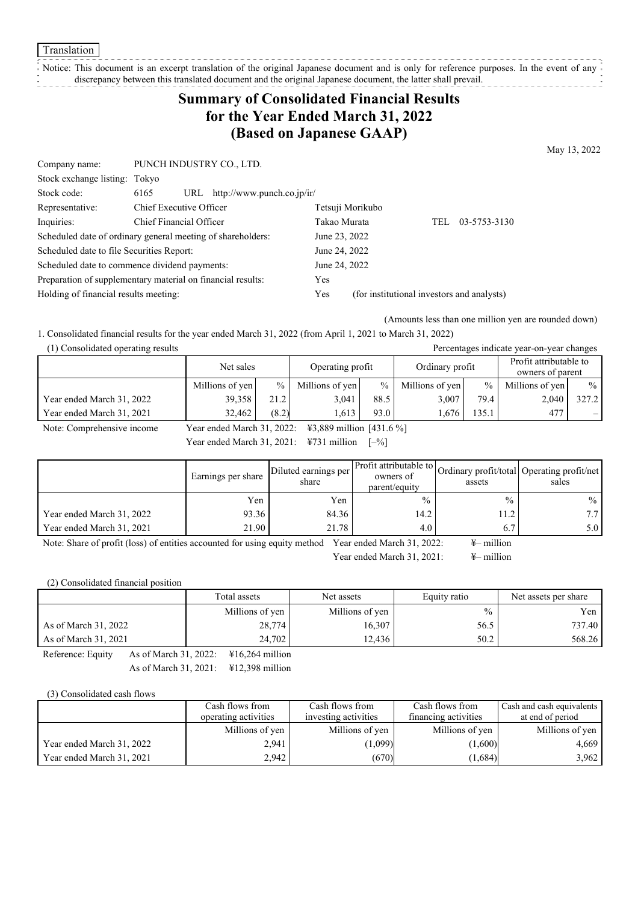**Translation** 

## Notice: This document is an excerpt translation of the original Japanese document and is only for reference purposes. In the event of any  $\frac{1}{2}$

discrepancy between this translated document and the original Japanese document, the latter shall prevail. .<br>- - - - - - - - - - - - - - -

# **Summary of Consolidated Financial Results for the Year Ended March 31, 2022 (Based on Japanese GAAP)**

May 13, 2022

| Company name:                                               | PUNCH INDUSTRY CO., LTD. |                                  |               |                                            |     |              |
|-------------------------------------------------------------|--------------------------|----------------------------------|---------------|--------------------------------------------|-----|--------------|
| Stock exchange listing: Tokyo                               |                          |                                  |               |                                            |     |              |
| Stock code:                                                 | 6165                     | URL $http://www.punch.co.jp/ir/$ |               |                                            |     |              |
| Representative:                                             | Chief Executive Officer  |                                  |               | Tetsuji Morikubo                           |     |              |
| Inquiries:                                                  | Chief Financial Officer  |                                  | Takao Murata  |                                            | TEL | 03-5753-3130 |
| Scheduled date of ordinary general meeting of shareholders: |                          |                                  | June 23, 2022 |                                            |     |              |
| Scheduled date to file Securities Report:                   |                          |                                  | June 24, 2022 |                                            |     |              |
| Scheduled date to commence dividend payments:               |                          |                                  | June 24, 2022 |                                            |     |              |
| Preparation of supplementary material on financial results: |                          |                                  | Yes           |                                            |     |              |
| Holding of financial results meeting:                       |                          |                                  | Yes           | (for institutional investors and analysts) |     |              |

(Amounts less than one million yen are rounded down)

1. Consolidated financial results for the year ended March 31, 2022 (from April 1, 2021 to March 31, 2022)

(1) Consolidated operating results Percentages indicate year-on-year changes

|                           | Net sales<br>Operating profit |               | Ordinary profit |      | Profit attributable to<br>owners of parent |                 |                 |               |
|---------------------------|-------------------------------|---------------|-----------------|------|--------------------------------------------|-----------------|-----------------|---------------|
|                           | Millions of yen               | $\frac{0}{6}$ | Millions of yen | $\%$ | Millions of yen                            | $\frac{0}{0}$ 1 | Millions of yen | $\frac{0}{0}$ |
| Year ended March 31, 2022 | 39.358                        | 21.2          | 3.041           | 88.5 | 3.007                                      | 79.4            | 2,040           | 327.2         |
| Year ended March 31, 2021 | 32.462                        | (8.2)         | .613            | 93.0 | . 676                                      | 135.1           | 477             | -             |
| ___                       | .                             |               | .<br>--- ---    | .    |                                            |                 |                 |               |

Note: Comprehensive income Year ended March 31, 2022: ¥3,889 million [431.6 %] Year ended March 31, 2021:  $\angle 731$  million  $[-\%]$ 

|                           | Earnings per share | Diluted earnings per<br>share | Profit attributable to   Ordinary profit/total   Operating profit/net '<br>owners of<br>parent/equity | assets        | sales         |
|---------------------------|--------------------|-------------------------------|-------------------------------------------------------------------------------------------------------|---------------|---------------|
|                           | Yen                | Yen                           | $\frac{0}{0}$                                                                                         | $\frac{0}{0}$ | $\frac{0}{0}$ |
| Year ended March 31, 2022 | 93.36              | 84.36                         | 14.2                                                                                                  | 11.2          |               |
| Year ended March 31, 2021 | 21.90              | 21.78                         | 4.0                                                                                                   | 6.7           | 5.0           |

Note: Share of profit (loss) of entities accounted for using equity method Year ended March 31, 2022:  $\quad \text{#-million}$ 

Year ended March 31, 2021: ¥– million

(2) Consolidated financial position

|                      | Total assets    | Net assets      | Equity ratio | Net assets per share |  |
|----------------------|-----------------|-----------------|--------------|----------------------|--|
|                      | Millions of yen | Millions of yen | $\%$         | Yen                  |  |
| As of March 31, 2022 | 28,774          | 16,307          | 56.5         | 737.40               |  |
| As of March 31, 2021 | 24.702          | 12,436          | 50.2         | 568.26               |  |

Reference: Equity As of March 31, 2022: ¥16,264 million As of March 31, 2021: ¥12,398 million

(3) Consolidated cash flows

|                           | Cash flows from      | Cash flows from      | Cash flows from      | Cash and cash equivalents |
|---------------------------|----------------------|----------------------|----------------------|---------------------------|
|                           | operating activities | investing activities | financing activities | at end of period          |
|                           | Millions of yen      | Millions of yen      | Millions of yen      | Millions of yen           |
| Year ended March 31, 2022 | 2,941                | (1,099)              | (1,600)              | 4,669                     |
| Year ended March 31, 2021 | 2.942                | (670)                | (1,684)              | 3,962                     |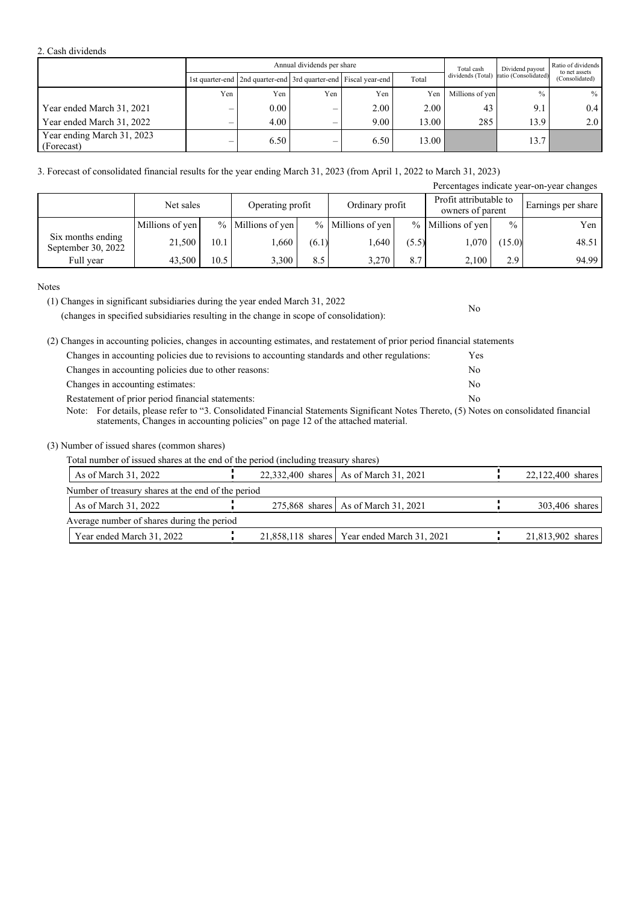#### 2. Cash dividends

|                                          |     |                                                                       | Annual dividends per share |      | Total cash | Dividend payout   | Ratio of dividends<br>to net assets |                |  |
|------------------------------------------|-----|-----------------------------------------------------------------------|----------------------------|------|------------|-------------------|-------------------------------------|----------------|--|
|                                          |     | 1st quarter-end   2nd quarter-end   3rd quarter-end   Fiscal year-end |                            |      | Total      | dividends (Total) | ratio (Consolidated)                | (Consolidated) |  |
|                                          | Yen | Yen                                                                   | Yen                        | Yen  | Yen        | Millions of yen   | $\frac{0}{0}$                       | $%$            |  |
| Year ended March 31, 2021                |     | 0.00                                                                  |                            | 2.00 | 2.00       | 43                | 9.1                                 | 0.4            |  |
| Year ended March 31, 2022                |     | 4.00                                                                  |                            | 9.00 | 13.00      | 285               | 13.9                                | 2.0            |  |
| Year ending March 31, 2023<br>(Forecast) |     | 6.50                                                                  | –                          | 6.50 | 13.00      |                   | 13.7                                |                |  |

3. Forecast of consolidated financial results for the year ending March 31, 2023 (from April 1, 2022 to March 31, 2023)

|                                         |                 |      |                   |       |                   |       |                                            |               | Percentages indicate year-on-year changes |
|-----------------------------------------|-----------------|------|-------------------|-------|-------------------|-------|--------------------------------------------|---------------|-------------------------------------------|
|                                         | Net sales       |      | Operating profit  |       | Ordinary profit   |       | Profit attributable to<br>owners of parent |               | Earnings per share                        |
|                                         | Millions of yen |      | % Millions of yen |       | % Millions of yen |       | % Millions of yen                          | $\frac{0}{0}$ | Yen                                       |
| Six months ending<br>September 30, 2022 | 21,500          | 10.1 | 1,660             | (6.1) | 1,640             | (5.5) | 1,070                                      | (15.0)        | 48.51                                     |
| Full year                               | 43,500          | 10.5 | 3,300             | 8.5   | 3.270             | 8.7   | 2.100                                      | 2.9           | 94.99                                     |

#### Notes

(1) Changes in significant subsidiaries during the year ended March 31, 2022

(changes in specified subsidiaries resulting in the change in scope of consolidation):

(2) Changes in accounting policies, changes in accounting estimates, and restatement of prior period financial statements

| Changes in accounting policies due to revisions to accounting standards and other regulations:                                          | Yes |
|-----------------------------------------------------------------------------------------------------------------------------------------|-----|
| Changes in accounting policies due to other reasons:                                                                                    | No  |
| Changes in accounting estimates:                                                                                                        | No  |
| Restatement of prior period financial statements:                                                                                       | No. |
| Note: For details, please refer to "3. Consolidated Financial Statements Significant Notes Thereto, (5) Notes on consolidated financial |     |
| statements, Changes in accounting policies" on page 12 of the attached material.                                                        |     |

No

(3) Number of issued shares (common shares)

Total number of issued shares at the end of the period (including treasury shares)

| As of March 31, 2022                               |  | 22,332,400 shares   As of March 31, 2021      | 22,122,400 shares |
|----------------------------------------------------|--|-----------------------------------------------|-------------------|
| Number of treasury shares at the end of the period |  |                                               |                   |
| As of March 31, 2022                               |  | 275,868 shares   As of March 31, 2021         | 303,406 shares    |
| Average number of shares during the period         |  |                                               |                   |
| Year ended March 31, 2022                          |  | 21,858,118 shares   Year ended March 31, 2021 | 21,813,902 shares |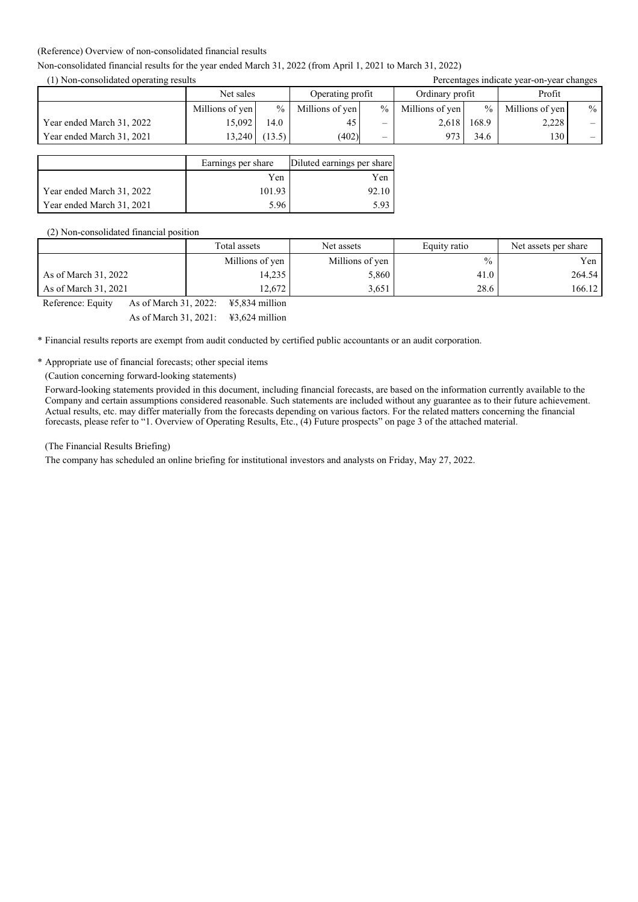#### (Reference) Overview of non-consolidated financial results

### Non-consolidated financial results for the year ended March 31, 2022 (from April 1, 2021 to March 31, 2022)

(1) Non-consolidated operating results Percentages indicate year-on-year changes

| TTTWN-CONSONAUGH ODCIANILE TUSHIIS |                 |               |                  | I creentages mentale year-on-year enanges |                 |               |                 |      |
|------------------------------------|-----------------|---------------|------------------|-------------------------------------------|-----------------|---------------|-----------------|------|
|                                    | Net sales       |               | Operating profit |                                           | Ordinary profit |               | Profit          |      |
|                                    | Millions of yen | $\frac{0}{0}$ | Millions of yen  | $\%$                                      | Millions of yen | $\frac{9}{6}$ | Millions of yen | $\%$ |
| Year ended March 31, 2022          | 15.092          | 14.0          | 45               | —                                         | 2.618           | 168.9         | 2,228           |      |
| Year ended March 31, 2021          | 13.240          | (13.5)        | (402)            | —                                         | 073             | 34.6          | 130             | $-$  |

|                           | Earnings per share | Diluted earnings per share |
|---------------------------|--------------------|----------------------------|
|                           | Yen                | Yen                        |
| Year ended March 31, 2022 | 101.93             | 92.10                      |
| Year ended March 31, 2021 | 5.96               | 5.93                       |

#### (2) Non-consolidated financial position

|                                            | Total assets                                                                                                                        | Net assets      | Equity ratio  | Net assets per share |  |
|--------------------------------------------|-------------------------------------------------------------------------------------------------------------------------------------|-----------------|---------------|----------------------|--|
|                                            | Millions of yen                                                                                                                     | Millions of yen | $\frac{0}{0}$ | Yen                  |  |
| As of March 31, 2022                       | 14,235                                                                                                                              | 5,860           | 41.0          | 264.54               |  |
| As of March 31, 2021                       | 12.672                                                                                                                              | 3.651           | 28.6          | 166.12               |  |
| As of March 31, 2022:<br>Reference: Equity | ¥5.834 million                                                                                                                      |                 |               |                      |  |
|                                            | $\mathbf{A}$ and $\mathbf{A}$ and $\mathbf{A}$ and $\mathbf{A}$ and $\mathbf{A}$ and $\mathbf{A}$ and $\mathbf{A}$ and $\mathbf{A}$ |                 |               |                      |  |

As of March 31, 2021: ¥3,624 million

\* Financial results reports are exempt from audit conducted by certified public accountants or an audit corporation.

\* Appropriate use of financial forecasts; other special items

(Caution concerning forward-looking statements)

Forward-looking statements provided in this document, including financial forecasts, are based on the information currently available to the Company and certain assumptions considered reasonable. Such statements are included without any guarantee as to their future achievement. Actual results, etc. may differ materially from the forecasts depending on various factors. For the related matters concerning the financial forecasts, please refer to "1. Overview of Operating Results, Etc., (4) Future prospects" on page 3 of the attached material.

### (The Financial Results Briefing)

The company has scheduled an online briefing for institutional investors and analysts on Friday, May 27, 2022.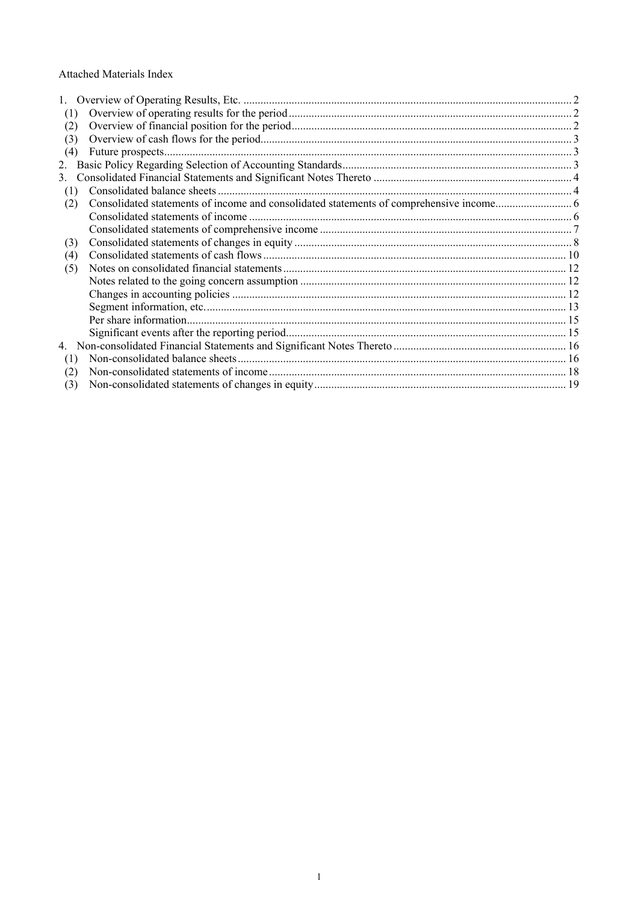### Attached Materials Index

| (1) |  |
|-----|--|
| (2) |  |
| (3) |  |
| (4) |  |
| 2.  |  |
| 3.  |  |
| (1) |  |
| (2) |  |
|     |  |
|     |  |
| (3) |  |
| (4) |  |
| (5) |  |
|     |  |
|     |  |
|     |  |
|     |  |
|     |  |
|     |  |
| (1) |  |
| (2) |  |
| (3) |  |
|     |  |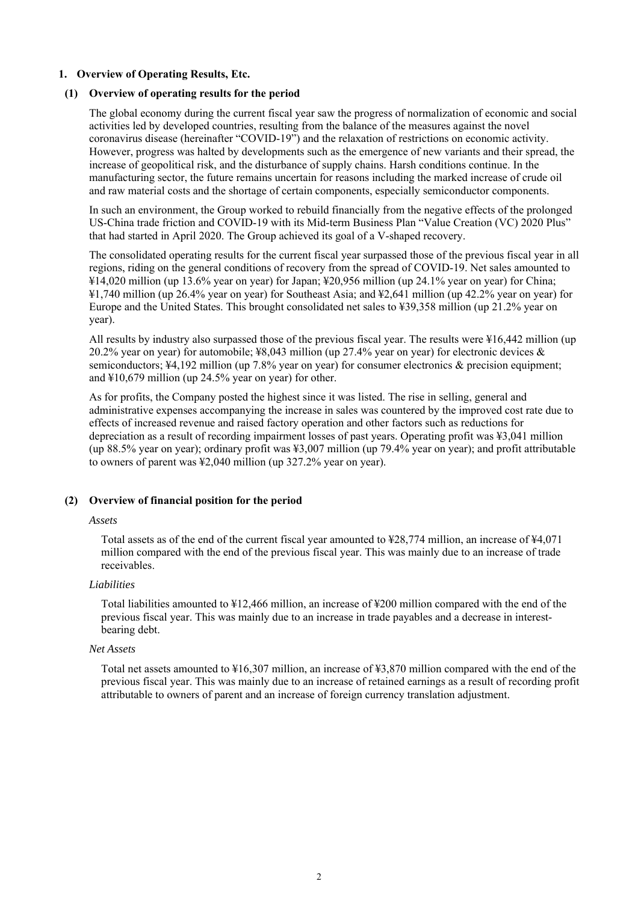### **1. Overview of Operating Results, Etc.**

## **(1) Overview of operating results for the period**

The global economy during the current fiscal year saw the progress of normalization of economic and social activities led by developed countries, resulting from the balance of the measures against the novel coronavirus disease (hereinafter "COVID-19") and the relaxation of restrictions on economic activity. However, progress was halted by developments such as the emergence of new variants and their spread, the increase of geopolitical risk, and the disturbance of supply chains. Harsh conditions continue. In the manufacturing sector, the future remains uncertain for reasons including the marked increase of crude oil and raw material costs and the shortage of certain components, especially semiconductor components.

In such an environment, the Group worked to rebuild financially from the negative effects of the prolonged US-China trade friction and COVID-19 with its Mid-term Business Plan "Value Creation (VC) 2020 Plus" that had started in April 2020. The Group achieved its goal of a V-shaped recovery.

The consolidated operating results for the current fiscal year surpassed those of the previous fiscal year in all regions, riding on the general conditions of recovery from the spread of COVID-19. Net sales amounted to ¥14,020 million (up 13.6% year on year) for Japan; ¥20,956 million (up 24.1% year on year) for China; ¥1,740 million (up 26.4% year on year) for Southeast Asia; and ¥2,641 million (up 42.2% year on year) for Europe and the United States. This brought consolidated net sales to ¥39,358 million (up 21.2% year on year).

All results by industry also surpassed those of the previous fiscal year. The results were ¥16,442 million (up 20.2% year on year) for automobile; ¥8,043 million (up 27.4% year on year) for electronic devices & semiconductors; ¥4,192 million (up 7.8% year on year) for consumer electronics & precision equipment; and ¥10,679 million (up 24.5% year on year) for other.

As for profits, the Company posted the highest since it was listed. The rise in selling, general and administrative expenses accompanying the increase in sales was countered by the improved cost rate due to effects of increased revenue and raised factory operation and other factors such as reductions for depreciation as a result of recording impairment losses of past years. Operating profit was ¥3,041 million (up 88.5% year on year); ordinary profit was ¥3,007 million (up 79.4% year on year); and profit attributable to owners of parent was ¥2,040 million (up 327.2% year on year).

## **(2) Overview of financial position for the period**

## *Assets*

Total assets as of the end of the current fiscal year amounted to ¥28,774 million, an increase of ¥4,071 million compared with the end of the previous fiscal year. This was mainly due to an increase of trade receivables.

## *Liabilities*

Total liabilities amounted to ¥12,466 million, an increase of ¥200 million compared with the end of the previous fiscal year. This was mainly due to an increase in trade payables and a decrease in interestbearing debt.

## *Net Assets*

Total net assets amounted to ¥16,307 million, an increase of ¥3,870 million compared with the end of the previous fiscal year. This was mainly due to an increase of retained earnings as a result of recording profit attributable to owners of parent and an increase of foreign currency translation adjustment.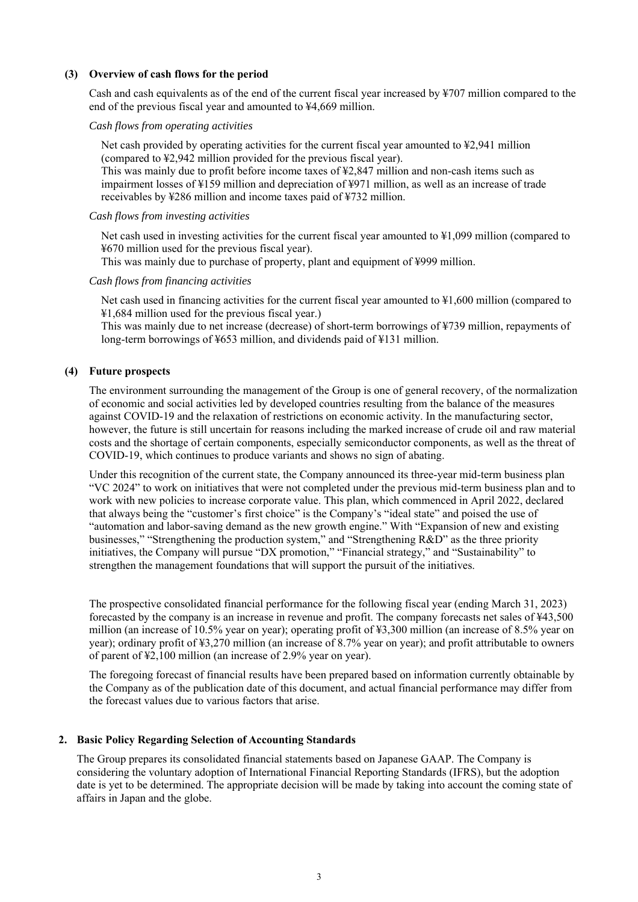### **(3) Overview of cash flows for the period**

Cash and cash equivalents as of the end of the current fiscal year increased by ¥707 million compared to the end of the previous fiscal year and amounted to ¥4,669 million.

### *Cash flows from operating activities*

Net cash provided by operating activities for the current fiscal year amounted to ¥2,941 million (compared to ¥2,942 million provided for the previous fiscal year).

This was mainly due to profit before income taxes of ¥2,847 million and non-cash items such as impairment losses of ¥159 million and depreciation of ¥971 million, as well as an increase of trade receivables by ¥286 million and income taxes paid of ¥732 million.

### *Cash flows from investing activities*

Net cash used in investing activities for the current fiscal year amounted to  $\frac{1}{2}1,099$  million (compared to ¥670 million used for the previous fiscal year).

This was mainly due to purchase of property, plant and equipment of ¥999 million.

### *Cash flows from financing activities*

Net cash used in financing activities for the current fiscal year amounted to ¥1,600 million (compared to ¥1,684 million used for the previous fiscal year.)

This was mainly due to net increase (decrease) of short-term borrowings of ¥739 million, repayments of long-term borrowings of ¥653 million, and dividends paid of ¥131 million.

### **(4) Future prospects**

The environment surrounding the management of the Group is one of general recovery, of the normalization of economic and social activities led by developed countries resulting from the balance of the measures against COVID-19 and the relaxation of restrictions on economic activity. In the manufacturing sector, however, the future is still uncertain for reasons including the marked increase of crude oil and raw material costs and the shortage of certain components, especially semiconductor components, as well as the threat of COVID-19, which continues to produce variants and shows no sign of abating.

Under this recognition of the current state, the Company announced its three-year mid-term business plan "VC 2024" to work on initiatives that were not completed under the previous mid-term business plan and to work with new policies to increase corporate value. This plan, which commenced in April 2022, declared that always being the "customer's first choice" is the Company's "ideal state" and poised the use of "automation and labor-saving demand as the new growth engine." With "Expansion of new and existing businesses," "Strengthening the production system," and "Strengthening R&D" as the three priority initiatives, the Company will pursue "DX promotion," "Financial strategy," and "Sustainability" to strengthen the management foundations that will support the pursuit of the initiatives.

The prospective consolidated financial performance for the following fiscal year (ending March 31, 2023) forecasted by the company is an increase in revenue and profit. The company forecasts net sales of ¥43,500 million (an increase of 10.5% year on year); operating profit of ¥3,300 million (an increase of 8.5% year on year); ordinary profit of ¥3,270 million (an increase of 8.7% year on year); and profit attributable to owners of parent of ¥2,100 million (an increase of 2.9% year on year).

The foregoing forecast of financial results have been prepared based on information currently obtainable by the Company as of the publication date of this document, and actual financial performance may differ from the forecast values due to various factors that arise.

### **2. Basic Policy Regarding Selection of Accounting Standards**

The Group prepares its consolidated financial statements based on Japanese GAAP. The Company is considering the voluntary adoption of International Financial Reporting Standards (IFRS), but the adoption date is yet to be determined. The appropriate decision will be made by taking into account the coming state of affairs in Japan and the globe.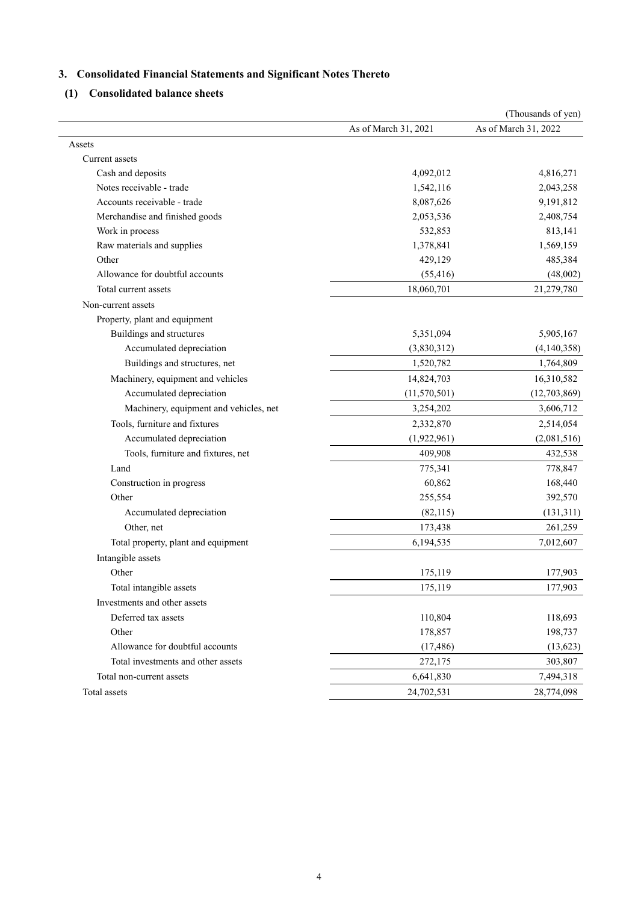# **3. Consolidated Financial Statements and Significant Notes Thereto**

**(1) Consolidated balance sheets**

|                                        |                      | (Thousands of yen)   |
|----------------------------------------|----------------------|----------------------|
|                                        | As of March 31, 2021 | As of March 31, 2022 |
| Assets                                 |                      |                      |
| Current assets                         |                      |                      |
| Cash and deposits                      | 4,092,012            | 4,816,271            |
| Notes receivable - trade               | 1,542,116            | 2,043,258            |
| Accounts receivable - trade            | 8,087,626            | 9,191,812            |
| Merchandise and finished goods         | 2,053,536            | 2,408,754            |
| Work in process                        | 532,853              | 813,141              |
| Raw materials and supplies             | 1,378,841            | 1,569,159            |
| Other                                  | 429,129              | 485,384              |
| Allowance for doubtful accounts        | (55, 416)            | (48,002)             |
| Total current assets                   | 18,060,701           | 21,279,780           |
| Non-current assets                     |                      |                      |
| Property, plant and equipment          |                      |                      |
| Buildings and structures               | 5,351,094            | 5,905,167            |
| Accumulated depreciation               | (3,830,312)          | (4,140,358)          |
| Buildings and structures, net          | 1,520,782            | 1,764,809            |
| Machinery, equipment and vehicles      | 14,824,703           | 16,310,582           |
| Accumulated depreciation               | (11, 570, 501)       | (12, 703, 869)       |
| Machinery, equipment and vehicles, net | 3,254,202            | 3,606,712            |
| Tools, furniture and fixtures          | 2,332,870            | 2,514,054            |
| Accumulated depreciation               | (1,922,961)          | (2,081,516)          |
| Tools, furniture and fixtures, net     | 409,908              | 432,538              |
| Land                                   | 775,341              | 778,847              |
| Construction in progress               | 60,862               | 168,440              |
| Other                                  | 255,554              | 392,570              |
| Accumulated depreciation               | (82, 115)            | (131, 311)           |
| Other, net                             | 173,438              | 261,259              |
| Total property, plant and equipment    | 6,194,535            | 7,012,607            |
| Intangible assets                      |                      |                      |
| Other                                  | 175,119              | 177,903              |
| Total intangible assets                | 175,119              | 177,903              |
| Investments and other assets           |                      |                      |
| Deferred tax assets                    | 110,804              | 118,693              |
| Other                                  | 178,857              | 198,737              |
| Allowance for doubtful accounts        | (17, 486)            | (13, 623)            |
| Total investments and other assets     | 272,175              | 303,807              |
| Total non-current assets               | 6,641,830            | 7,494,318            |
| Total assets                           | 24,702,531           | 28,774,098           |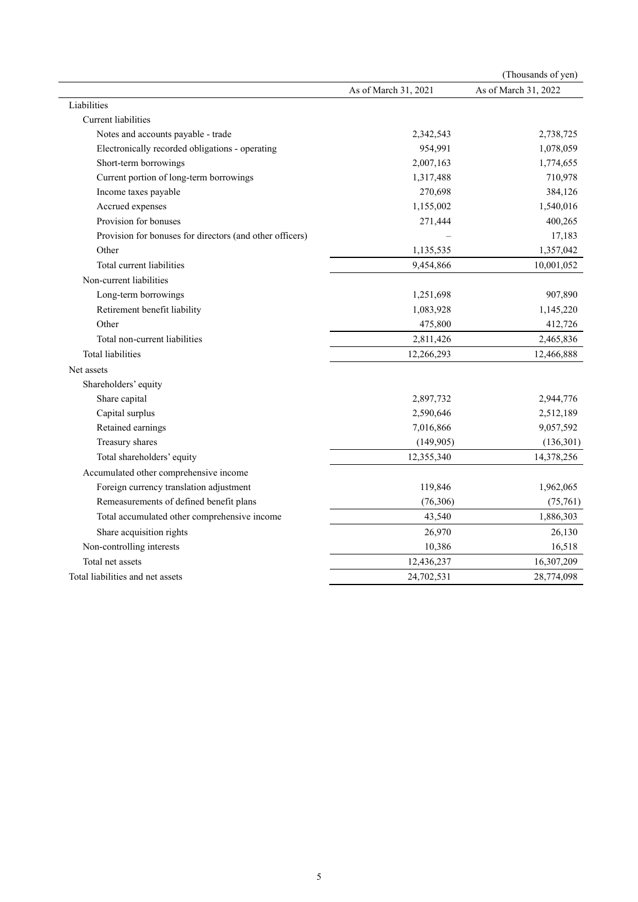|                                                          |                      | (Thousands of yen)   |
|----------------------------------------------------------|----------------------|----------------------|
|                                                          | As of March 31, 2021 | As of March 31, 2022 |
| Liabilities                                              |                      |                      |
| Current liabilities                                      |                      |                      |
| Notes and accounts payable - trade                       | 2,342,543            | 2,738,725            |
| Electronically recorded obligations - operating          | 954,991              | 1,078,059            |
| Short-term borrowings                                    | 2,007,163            | 1,774,655            |
| Current portion of long-term borrowings                  | 1,317,488            | 710,978              |
| Income taxes payable                                     | 270,698              | 384,126              |
| Accrued expenses                                         | 1,155,002            | 1,540,016            |
| Provision for bonuses                                    | 271,444              | 400,265              |
| Provision for bonuses for directors (and other officers) |                      | 17,183               |
| Other                                                    | 1,135,535            | 1,357,042            |
| Total current liabilities                                | 9,454,866            | 10,001,052           |
| Non-current liabilities                                  |                      |                      |
| Long-term borrowings                                     | 1,251,698            | 907,890              |
| Retirement benefit liability                             | 1,083,928            | 1,145,220            |
| Other                                                    | 475,800              | 412,726              |
| Total non-current liabilities                            | 2,811,426            | 2,465,836            |
| <b>Total liabilities</b>                                 | 12,266,293           | 12,466,888           |
| Net assets                                               |                      |                      |
| Shareholders' equity                                     |                      |                      |
| Share capital                                            | 2,897,732            | 2,944,776            |
| Capital surplus                                          | 2,590,646            | 2,512,189            |
| Retained earnings                                        | 7,016,866            | 9,057,592            |
| Treasury shares                                          | (149, 905)           | (136,301)            |
| Total shareholders' equity                               | 12,355,340           | 14,378,256           |
| Accumulated other comprehensive income                   |                      |                      |
| Foreign currency translation adjustment                  | 119,846              | 1,962,065            |
| Remeasurements of defined benefit plans                  | (76,306)             | (75,761)             |
| Total accumulated other comprehensive income             | 43,540               | 1,886,303            |
| Share acquisition rights                                 | 26,970               | 26,130               |
| Non-controlling interests                                | 10,386               | 16,518               |
| Total net assets                                         | 12,436,237           | 16,307,209           |
| Total liabilities and net assets                         | 24,702,531           | 28,774,098           |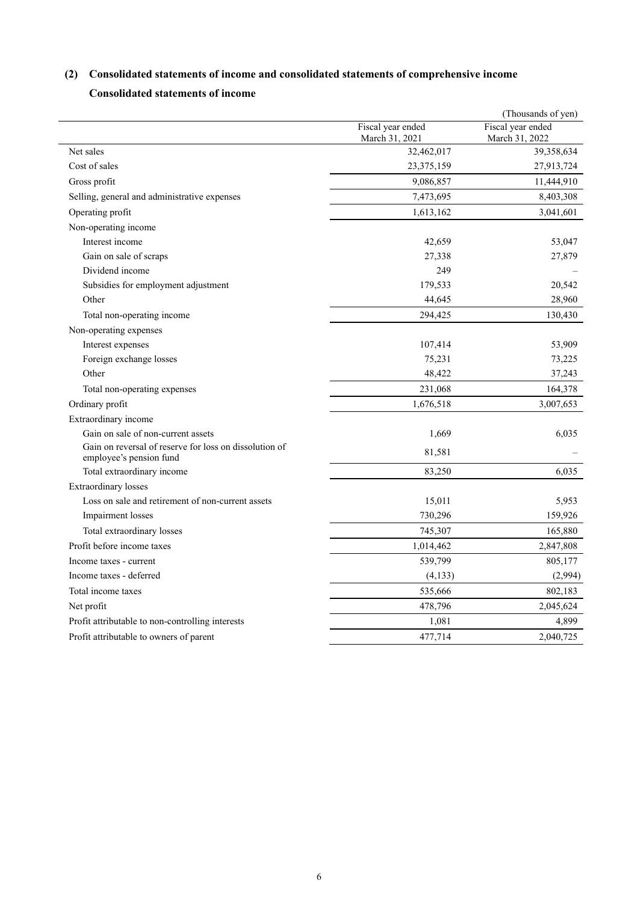# **(2) Consolidated statements of income and consolidated statements of comprehensive income**

## **Consolidated statements of income**

|                                                                                   |                                     | (Thousands of yen)                  |
|-----------------------------------------------------------------------------------|-------------------------------------|-------------------------------------|
|                                                                                   | Fiscal year ended<br>March 31, 2021 | Fiscal year ended<br>March 31, 2022 |
| Net sales                                                                         | 32,462,017                          | 39,358,634                          |
| Cost of sales                                                                     | 23,375,159                          | 27,913,724                          |
| Gross profit                                                                      | 9,086,857                           | 11,444,910                          |
| Selling, general and administrative expenses                                      | 7,473,695                           | 8,403,308                           |
| Operating profit                                                                  | 1,613,162                           | 3,041,601                           |
| Non-operating income                                                              |                                     |                                     |
| Interest income                                                                   | 42,659                              | 53,047                              |
| Gain on sale of scraps                                                            | 27,338                              | 27,879                              |
| Dividend income                                                                   | 249                                 |                                     |
| Subsidies for employment adjustment                                               | 179,533                             | 20,542                              |
| Other                                                                             | 44,645                              | 28,960                              |
| Total non-operating income                                                        | 294,425                             | 130,430                             |
| Non-operating expenses                                                            |                                     |                                     |
| Interest expenses                                                                 | 107,414                             | 53,909                              |
| Foreign exchange losses                                                           | 75,231                              | 73,225                              |
| Other                                                                             | 48,422                              | 37,243                              |
| Total non-operating expenses                                                      | 231,068                             | 164,378                             |
| Ordinary profit                                                                   | 1,676,518                           | 3,007,653                           |
| Extraordinary income                                                              |                                     |                                     |
| Gain on sale of non-current assets                                                | 1,669                               | 6,035                               |
| Gain on reversal of reserve for loss on dissolution of<br>employee's pension fund | 81,581                              |                                     |
| Total extraordinary income                                                        | 83,250                              | 6,035                               |
| <b>Extraordinary losses</b>                                                       |                                     |                                     |
| Loss on sale and retirement of non-current assets                                 | 15,011                              | 5,953                               |
| Impairment losses                                                                 | 730,296                             | 159,926                             |
| Total extraordinary losses                                                        | 745,307                             | 165,880                             |
| Profit before income taxes                                                        | 1,014,462                           | 2,847,808                           |
| Income taxes - current                                                            | 539,799                             | 805,177                             |
| Income taxes - deferred                                                           | (4, 133)                            | (2,994)                             |
| Total income taxes                                                                | 535,666                             | 802,183                             |
| Net profit                                                                        | 478,796                             | 2,045,624                           |
| Profit attributable to non-controlling interests                                  | 1,081                               | 4,899                               |
| Profit attributable to owners of parent                                           | 477,714                             | 2,040,725                           |
|                                                                                   |                                     |                                     |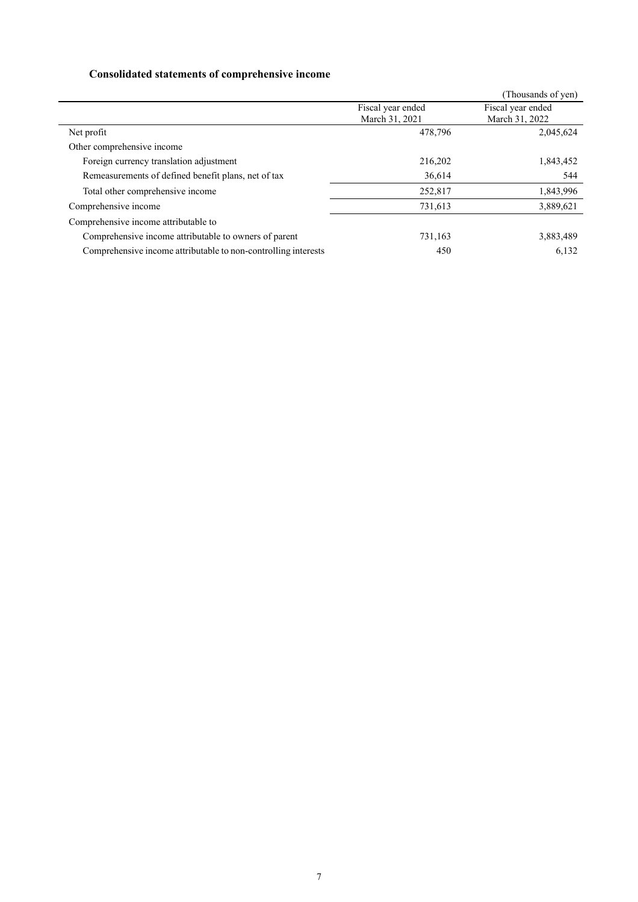# **Consolidated statements of comprehensive income**

|                                                                |                                     | Thousands of yen)                   |
|----------------------------------------------------------------|-------------------------------------|-------------------------------------|
|                                                                | Fiscal year ended<br>March 31, 2021 | Fiscal year ended<br>March 31, 2022 |
| Net profit                                                     | 478.796                             | 2,045,624                           |
| Other comprehensive income                                     |                                     |                                     |
| Foreign currency translation adjustment                        | 216,202                             | 1,843,452                           |
| Remeasurements of defined benefit plans, net of tax            | 36,614                              | 544                                 |
| Total other comprehensive income                               | 252,817                             | 1,843,996                           |
| Comprehensive income                                           | 731,613                             | 3,889,621                           |
| Comprehensive income attributable to                           |                                     |                                     |
| Comprehensive income attributable to owners of parent          | 731,163                             | 3,883,489                           |
| Comprehensive income attributable to non-controlling interests | 450                                 | 6.132                               |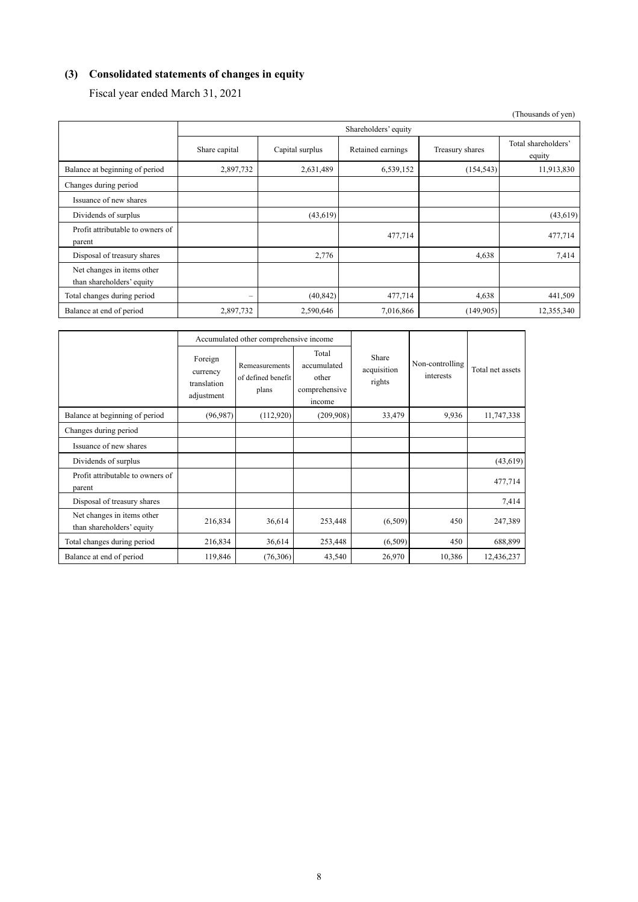# **(3) Consolidated statements of changes in equity**

Fiscal year ended March 31, 2021

|                                                         |               |                 |                      |                 | (Thousands of yen)            |
|---------------------------------------------------------|---------------|-----------------|----------------------|-----------------|-------------------------------|
|                                                         |               |                 | Shareholders' equity |                 |                               |
|                                                         | Share capital | Capital surplus | Retained earnings    | Treasury shares | Total shareholders'<br>equity |
| Balance at beginning of period                          | 2,897,732     | 2,631,489       | 6,539,152            | (154, 543)      | 11,913,830                    |
| Changes during period                                   |               |                 |                      |                 |                               |
| Issuance of new shares                                  |               |                 |                      |                 |                               |
| Dividends of surplus                                    |               | (43, 619)       |                      |                 | (43, 619)                     |
| Profit attributable to owners of<br>parent              |               |                 | 477,714              |                 | 477,714                       |
| Disposal of treasury shares                             |               | 2,776           |                      | 4,638           | 7,414                         |
| Net changes in items other<br>than shareholders' equity |               |                 |                      |                 |                               |
| Total changes during period                             | $\equiv$      | (40, 842)       | 477,714              | 4,638           | 441,509                       |
| Balance at end of period                                | 2,897,732     | 2,590,646       | 7,016,866            | (149,905)       | 12,355,340                    |

|                                                         |                                                  | Accumulated other comprehensive income               |                                                          |                                |                              |                  |
|---------------------------------------------------------|--------------------------------------------------|------------------------------------------------------|----------------------------------------------------------|--------------------------------|------------------------------|------------------|
|                                                         | Foreign<br>currency<br>translation<br>adjustment | <b>Remeasurements</b><br>of defined benefit<br>plans | Total<br>accumulated<br>other<br>comprehensive<br>income | Share<br>acquisition<br>rights | Non-controlling<br>interests | Total net assets |
| Balance at beginning of period                          | (96, 987)                                        | (112,920)                                            | (209,908)                                                | 33,479                         | 9,936                        | 11,747,338       |
| Changes during period                                   |                                                  |                                                      |                                                          |                                |                              |                  |
| Issuance of new shares                                  |                                                  |                                                      |                                                          |                                |                              |                  |
| Dividends of surplus                                    |                                                  |                                                      |                                                          |                                |                              | (43, 619)        |
| Profit attributable to owners of<br>parent              |                                                  |                                                      |                                                          |                                |                              | 477,714          |
| Disposal of treasury shares                             |                                                  |                                                      |                                                          |                                |                              | 7,414            |
| Net changes in items other<br>than shareholders' equity | 216,834                                          | 36,614                                               | 253,448                                                  | (6,509)                        | 450                          | 247,389          |
| Total changes during period                             | 216,834                                          | 36,614                                               | 253,448                                                  | (6,509)                        | 450                          | 688,899          |
| Balance at end of period                                | 119,846                                          | (76,306)                                             | 43,540                                                   | 26,970                         | 10,386                       | 12,436,237       |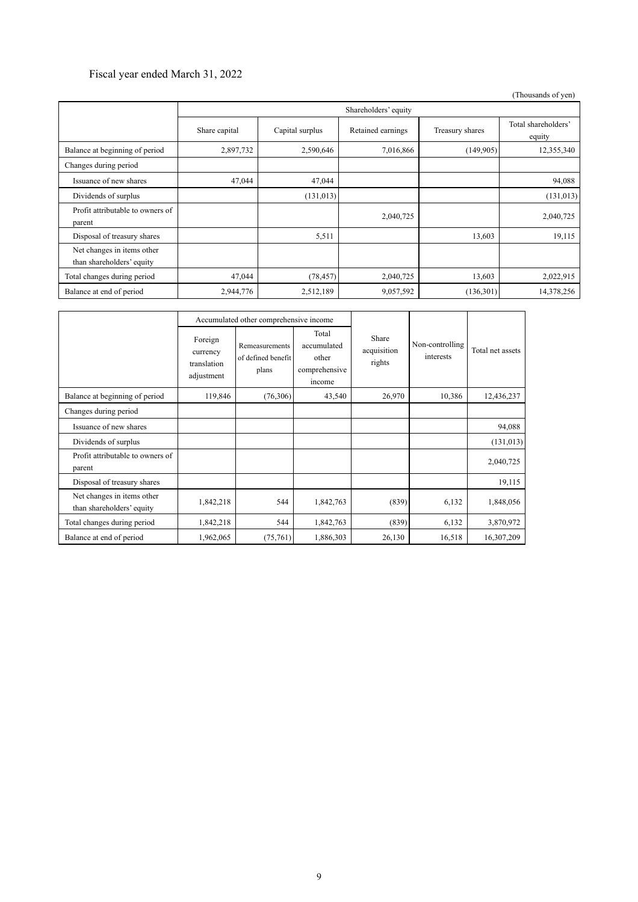### Fiscal year ended March 31, 2022

 (Thousands of yen) Shareholders' equity Share capital Capital surplus Retained earnings Treasury shares Total shareholders' equity Balance at beginning of period 2,897,732 2,590,646 7,016,866 (149,905) 12,355,340 Changes during period Issuance of new shares 47,044 47,044 47,044 94,088 Dividends of surplus (131,013) (131,013) (131,013) (131,013) (131,013) Profit attributable to owners of  $p_{\text{parent}}$  2,040,725  $p_{\text{parent}}$  2,040,725  $p_{\text{parent}}$  2,040,725  $p_{\text{parent}}$  2,040,725  $p_{\text{parent}}$ Disposal of treasury shares 19,115 Net changes in items other than shareholders' equity Total changes during period 47,044 (78,457) 2,040,725 13,603 2,022,915 Balance at end of period 2,944,776 2,512,189 9,057,592 (136,301) 14,378,256

|                                                         | Accumulated other comprehensive income           |                                               |                                                          |                                |                              |                  |
|---------------------------------------------------------|--------------------------------------------------|-----------------------------------------------|----------------------------------------------------------|--------------------------------|------------------------------|------------------|
|                                                         | Foreign<br>currency<br>translation<br>adjustment | Remeasurements<br>of defined benefit<br>plans | Total<br>accumulated<br>other<br>comprehensive<br>income | Share<br>acquisition<br>rights | Non-controlling<br>interests | Total net assets |
| Balance at beginning of period                          | 119,846                                          | (76,306)                                      | 43,540                                                   | 26,970                         | 10,386                       | 12,436,237       |
| Changes during period                                   |                                                  |                                               |                                                          |                                |                              |                  |
| Issuance of new shares                                  |                                                  |                                               |                                                          |                                |                              | 94,088           |
| Dividends of surplus                                    |                                                  |                                               |                                                          |                                |                              | (131, 013)       |
| Profit attributable to owners of<br>parent              |                                                  |                                               |                                                          |                                |                              | 2,040,725        |
| Disposal of treasury shares                             |                                                  |                                               |                                                          |                                |                              | 19,115           |
| Net changes in items other<br>than shareholders' equity | 1,842,218                                        | 544                                           | 1,842,763                                                | (839)                          | 6,132                        | 1,848,056        |
| Total changes during period                             | 1,842,218                                        | 544                                           | 1,842,763                                                | (839)                          | 6,132                        | 3,870,972        |
| Balance at end of period                                | 1,962,065                                        | (75,761)                                      | 1,886,303                                                | 26,130                         | 16,518                       | 16,307,209       |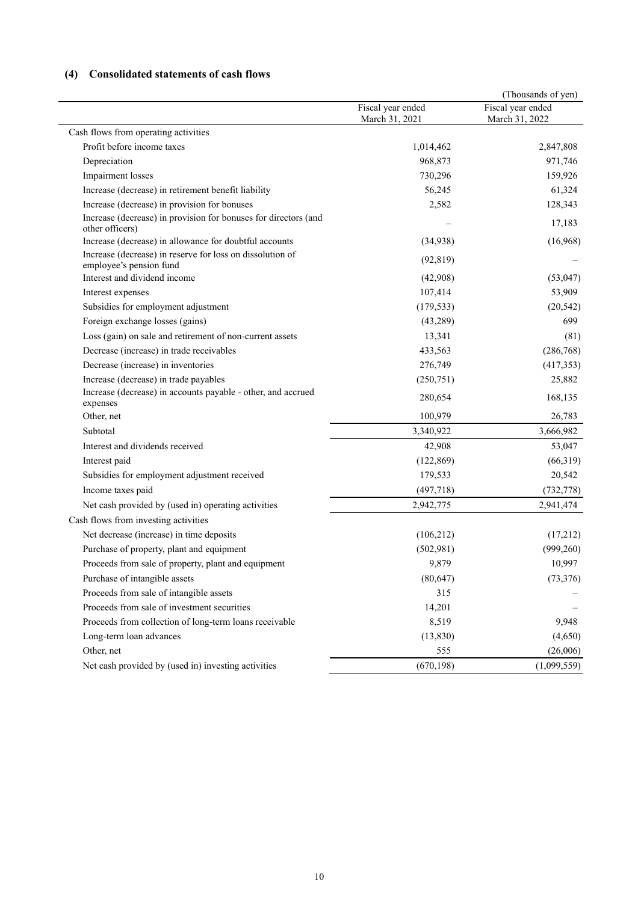# **(4) Consolidated statements of cash flows**

|                                                                                      |                                     | (Thousands of yen)                  |
|--------------------------------------------------------------------------------------|-------------------------------------|-------------------------------------|
|                                                                                      | Fiscal year ended<br>March 31, 2021 | Fiscal year ended<br>March 31, 2022 |
| Cash flows from operating activities                                                 |                                     |                                     |
| Profit before income taxes                                                           | 1,014,462                           | 2,847,808                           |
| Depreciation                                                                         | 968,873                             | 971,746                             |
| <b>Impairment</b> losses                                                             | 730,296                             | 159,926                             |
| Increase (decrease) in retirement benefit liability                                  | 56,245                              | 61,324                              |
| Increase (decrease) in provision for bonuses                                         | 2,582                               | 128,343                             |
| Increase (decrease) in provision for bonuses for directors (and<br>other officers)   |                                     | 17,183                              |
| Increase (decrease) in allowance for doubtful accounts                               | (34,938)                            | (16,968)                            |
| Increase (decrease) in reserve for loss on dissolution of<br>employee's pension fund | (92, 819)                           |                                     |
| Interest and dividend income                                                         | (42,908)                            | (53,047)                            |
| Interest expenses                                                                    | 107,414                             | 53,909                              |
| Subsidies for employment adjustment                                                  | (179, 533)                          | (20, 542)                           |
| Foreign exchange losses (gains)                                                      | (43, 289)                           | 699                                 |
| Loss (gain) on sale and retirement of non-current assets                             | 13,341                              | (81)                                |
| Decrease (increase) in trade receivables                                             | 433,563                             | (286, 768)                          |
| Decrease (increase) in inventories                                                   | 276,749                             | (417,353)                           |
| Increase (decrease) in trade payables                                                | (250, 751)                          | 25,882                              |
| Increase (decrease) in accounts payable - other, and accrued<br>expenses             | 280,654                             | 168,135                             |
| Other, net                                                                           | 100,979                             | 26,783                              |
| Subtotal                                                                             | 3,340,922                           | 3,666,982                           |
| Interest and dividends received                                                      | 42,908                              | 53,047                              |
| Interest paid                                                                        | (122, 869)                          | (66,319)                            |
| Subsidies for employment adjustment received                                         | 179,533                             | 20,542                              |
| Income taxes paid                                                                    | (497, 718)                          | (732, 778)                          |
| Net cash provided by (used in) operating activities                                  | 2,942,775                           | 2,941,474                           |
| Cash flows from investing activities                                                 |                                     |                                     |
| Net decrease (increase) in time deposits                                             | (106, 212)                          | (17,212)                            |
| Purchase of property, plant and equipment                                            | (502,981)                           | (999, 260)                          |
| Proceeds from sale of property, plant and equipment                                  | 9,879                               | 10,997                              |
| Purchase of intangible assets                                                        | (80, 647)                           | (73, 376)                           |
| Proceeds from sale of intangible assets                                              | 315                                 |                                     |
| Proceeds from sale of investment securities                                          | 14,201                              |                                     |
| Proceeds from collection of long-term loans receivable                               | 8,519                               | 9,948                               |
| Long-term loan advances                                                              | (13, 830)                           | (4,650)                             |
| Other, net                                                                           | 555                                 | (26,006)                            |
| Net cash provided by (used in) investing activities                                  | (670, 198)                          | (1,099,559)                         |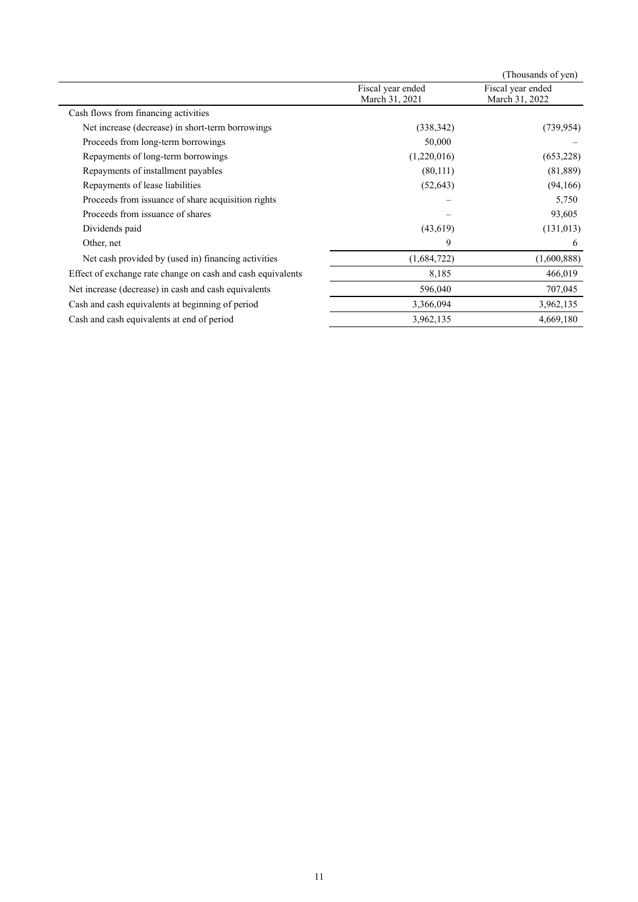|                                                             |                                     | (Thousands of yen)                  |
|-------------------------------------------------------------|-------------------------------------|-------------------------------------|
|                                                             | Fiscal year ended<br>March 31, 2021 | Fiscal year ended<br>March 31, 2022 |
| Cash flows from financing activities                        |                                     |                                     |
| Net increase (decrease) in short-term borrowings            | (338, 342)                          | (739, 954)                          |
| Proceeds from long-term borrowings                          | 50,000                              |                                     |
| Repayments of long-term borrowings                          | (1,220,016)                         | (653, 228)                          |
| Repayments of installment payables                          | (80,111)                            | (81, 889)                           |
| Repayments of lease liabilities                             | (52, 643)                           | (94,166)                            |
| Proceeds from issuance of share acquisition rights          |                                     | 5,750                               |
| Proceeds from issuance of shares                            |                                     | 93,605                              |
| Dividends paid                                              | (43,619)                            | (131, 013)                          |
| Other, net                                                  | 9                                   | 6                                   |
| Net cash provided by (used in) financing activities         | (1,684,722)                         | (1,600,888)                         |
| Effect of exchange rate change on cash and cash equivalents | 8,185                               | 466,019                             |
| Net increase (decrease) in cash and cash equivalents        | 596,040                             | 707,045                             |
| Cash and cash equivalents at beginning of period            | 3,366,094                           | 3,962,135                           |
| Cash and cash equivalents at end of period                  | 3,962,135                           | 4,669,180                           |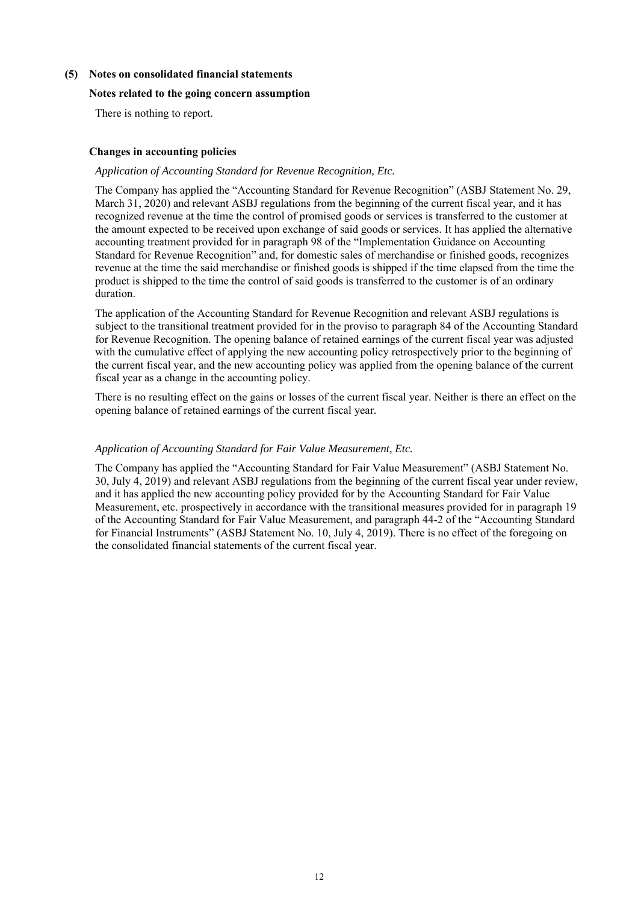### **(5) Notes on consolidated financial statements**

### **Notes related to the going concern assumption**

There is nothing to report.

### **Changes in accounting policies**

### *Application of Accounting Standard for Revenue Recognition, Etc.*

The Company has applied the "Accounting Standard for Revenue Recognition" (ASBJ Statement No. 29, March 31, 2020) and relevant ASBJ regulations from the beginning of the current fiscal year, and it has recognized revenue at the time the control of promised goods or services is transferred to the customer at the amount expected to be received upon exchange of said goods or services. It has applied the alternative accounting treatment provided for in paragraph 98 of the "Implementation Guidance on Accounting Standard for Revenue Recognition" and, for domestic sales of merchandise or finished goods, recognizes revenue at the time the said merchandise or finished goods is shipped if the time elapsed from the time the product is shipped to the time the control of said goods is transferred to the customer is of an ordinary duration.

The application of the Accounting Standard for Revenue Recognition and relevant ASBJ regulations is subject to the transitional treatment provided for in the proviso to paragraph 84 of the Accounting Standard for Revenue Recognition. The opening balance of retained earnings of the current fiscal year was adjusted with the cumulative effect of applying the new accounting policy retrospectively prior to the beginning of the current fiscal year, and the new accounting policy was applied from the opening balance of the current fiscal year as a change in the accounting policy.

There is no resulting effect on the gains or losses of the current fiscal year. Neither is there an effect on the opening balance of retained earnings of the current fiscal year.

### *Application of Accounting Standard for Fair Value Measurement, Etc.*

The Company has applied the "Accounting Standard for Fair Value Measurement" (ASBJ Statement No. 30, July 4, 2019) and relevant ASBJ regulations from the beginning of the current fiscal year under review, and it has applied the new accounting policy provided for by the Accounting Standard for Fair Value Measurement, etc. prospectively in accordance with the transitional measures provided for in paragraph 19 of the Accounting Standard for Fair Value Measurement, and paragraph 44-2 of the "Accounting Standard for Financial Instruments" (ASBJ Statement No. 10, July 4, 2019). There is no effect of the foregoing on the consolidated financial statements of the current fiscal year.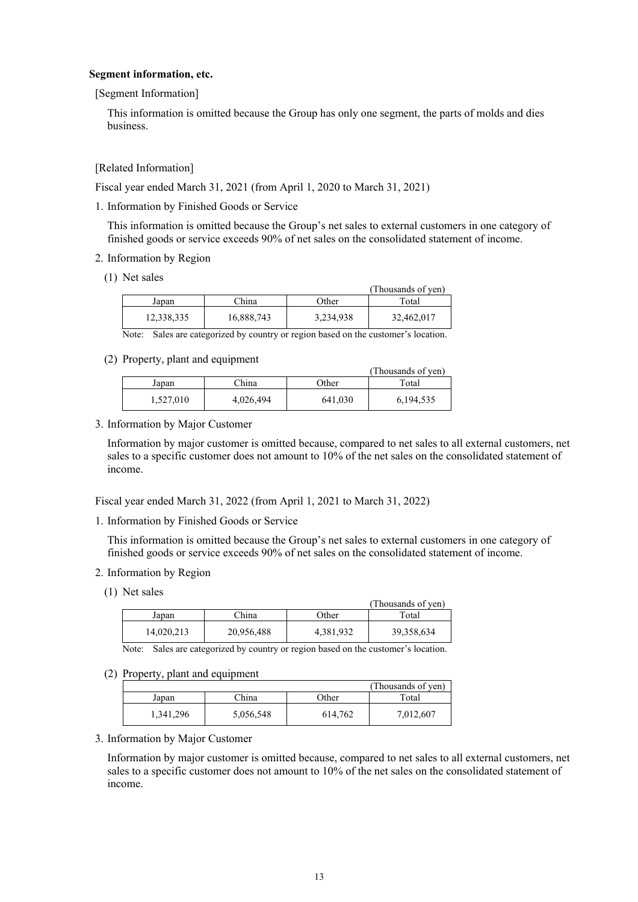### **Segment information, etc.**

[Segment Information]

This information is omitted because the Group has only one segment, the parts of molds and dies business.

[Related Information]

Fiscal year ended March 31, 2021 (from April 1, 2020 to March 31, 2021)

1. Information by Finished Goods or Service

This information is omitted because the Group's net sales to external customers in one category of finished goods or service exceeds 90% of net sales on the consolidated statement of income.

- 2. Information by Region
	- (1) Net sales

|            |            |           | (Thousands of ven) |
|------------|------------|-----------|--------------------|
| Japan      | China      | Other     | Total              |
| 12,338,335 | 16,888,743 | 3,234,938 | 32,462,017         |

Note: Sales are categorized by country or region based on the customer's location.

(2) Property, plant and equipment

| <i></i>   |           |         | (Thousands of yen) |
|-----------|-----------|---------|--------------------|
| Japan     | China     | Other   | Total              |
| 1,527,010 | 4,026,494 | 641,030 | 6, 194, 535        |

3. Information by Major Customer

Information by major customer is omitted because, compared to net sales to all external customers, net sales to a specific customer does not amount to 10% of the net sales on the consolidated statement of income.

Fiscal year ended March 31, 2022 (from April 1, 2021 to March 31, 2022)

1. Information by Finished Goods or Service

This information is omitted because the Group's net sales to external customers in one category of finished goods or service exceeds 90% of net sales on the consolidated statement of income.

- 2. Information by Region
	- (1) Net sales

|            |            |           | (Thousands of ven) |
|------------|------------|-----------|--------------------|
| Japan      | China      | Other     | Total              |
| 14.020.213 | 20,956,488 | 4,381,932 | 39,358,634         |

Note: Sales are categorized by country or region based on the customer's location.

(2) Property, plant and equipment

|           |           |         | (Thousands of yen) |
|-----------|-----------|---------|--------------------|
| Japan     | China     | Other   | Total              |
| 1,341,296 | 5,056,548 | 614,762 | 7,012,607          |

3. Information by Major Customer

Information by major customer is omitted because, compared to net sales to all external customers, net sales to a specific customer does not amount to 10% of the net sales on the consolidated statement of income.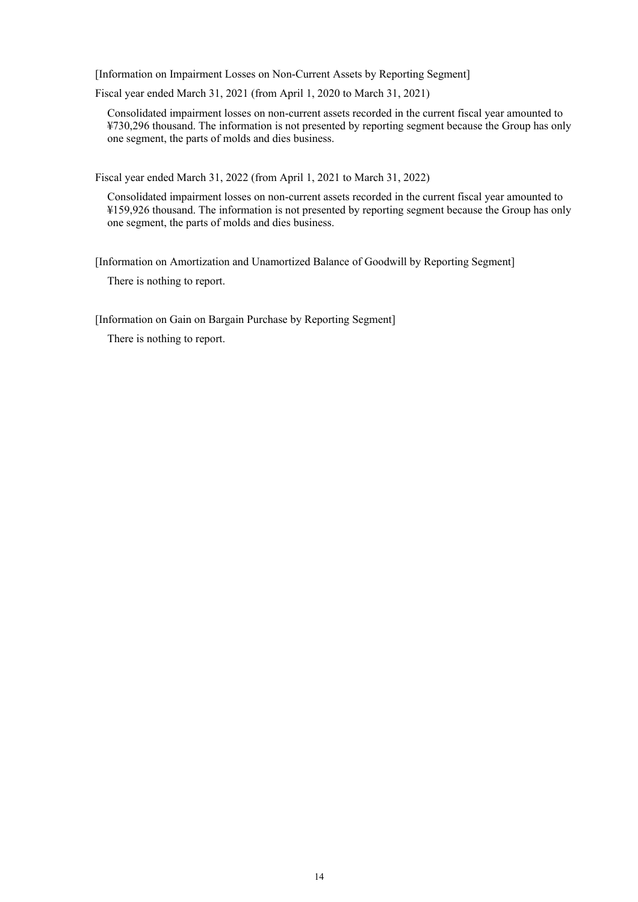[Information on Impairment Losses on Non-Current Assets by Reporting Segment]

Fiscal year ended March 31, 2021 (from April 1, 2020 to March 31, 2021)

Consolidated impairment losses on non-current assets recorded in the current fiscal year amounted to ¥730,296 thousand. The information is not presented by reporting segment because the Group has only one segment, the parts of molds and dies business.

Fiscal year ended March 31, 2022 (from April 1, 2021 to March 31, 2022)

Consolidated impairment losses on non-current assets recorded in the current fiscal year amounted to ¥159,926 thousand. The information is not presented by reporting segment because the Group has only one segment, the parts of molds and dies business.

[Information on Amortization and Unamortized Balance of Goodwill by Reporting Segment] There is nothing to report.

[Information on Gain on Bargain Purchase by Reporting Segment]

There is nothing to report.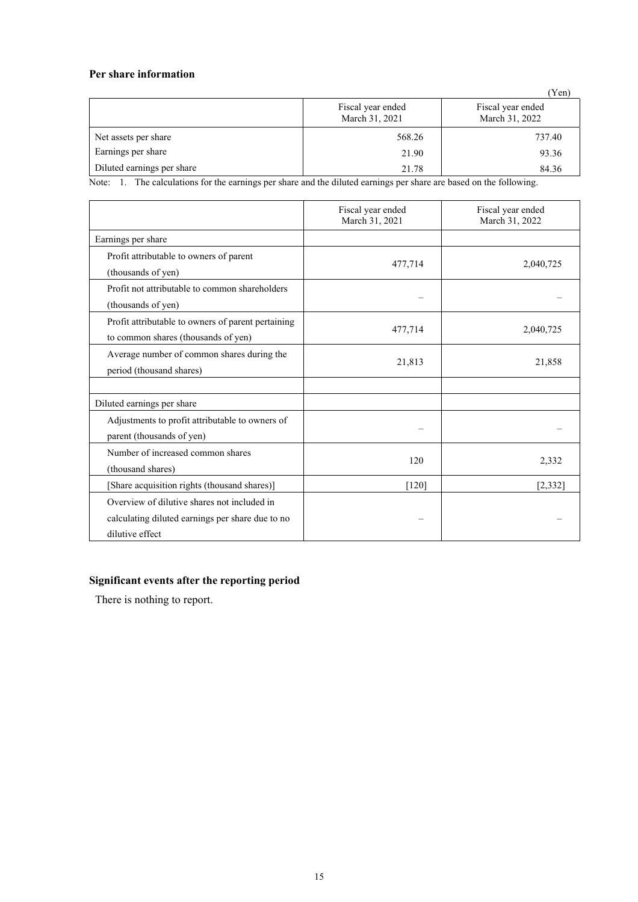### **Per share information**

|                            |                                     | (Yen)                               |
|----------------------------|-------------------------------------|-------------------------------------|
|                            | Fiscal year ended<br>March 31, 2021 | Fiscal year ended<br>March 31, 2022 |
| Net assets per share       | 568.26                              | 737.40                              |
| Earnings per share         | 21.90                               | 93.36                               |
| Diluted earnings per share | 21.78                               | 84.36                               |

Note: 1. The calculations for the earnings per share and the diluted earnings per share are based on the following.

|                                                                                                                    | Fiscal year ended<br>March 31, 2021 | Fiscal year ended<br>March 31, 2022 |
|--------------------------------------------------------------------------------------------------------------------|-------------------------------------|-------------------------------------|
| Earnings per share                                                                                                 |                                     |                                     |
| Profit attributable to owners of parent<br>(thousands of yen)                                                      | 477,714                             | 2,040,725                           |
| Profit not attributable to common shareholders<br>(thousands of yen)                                               |                                     |                                     |
| Profit attributable to owners of parent pertaining<br>to common shares (thousands of yen)                          | 477,714                             | 2,040,725                           |
| Average number of common shares during the<br>period (thousand shares)                                             | 21,813                              | 21,858                              |
|                                                                                                                    |                                     |                                     |
| Diluted earnings per share                                                                                         |                                     |                                     |
| Adjustments to profit attributable to owners of<br>parent (thousands of yen)                                       |                                     |                                     |
| Number of increased common shares<br>(thousand shares)                                                             | 120                                 | 2,332                               |
| [Share acquisition rights (thousand shares)]                                                                       | $[120]$                             | [2, 332]                            |
| Overview of dilutive shares not included in<br>calculating diluted earnings per share due to no<br>dilutive effect |                                     |                                     |

## **Significant events after the reporting period**

There is nothing to report.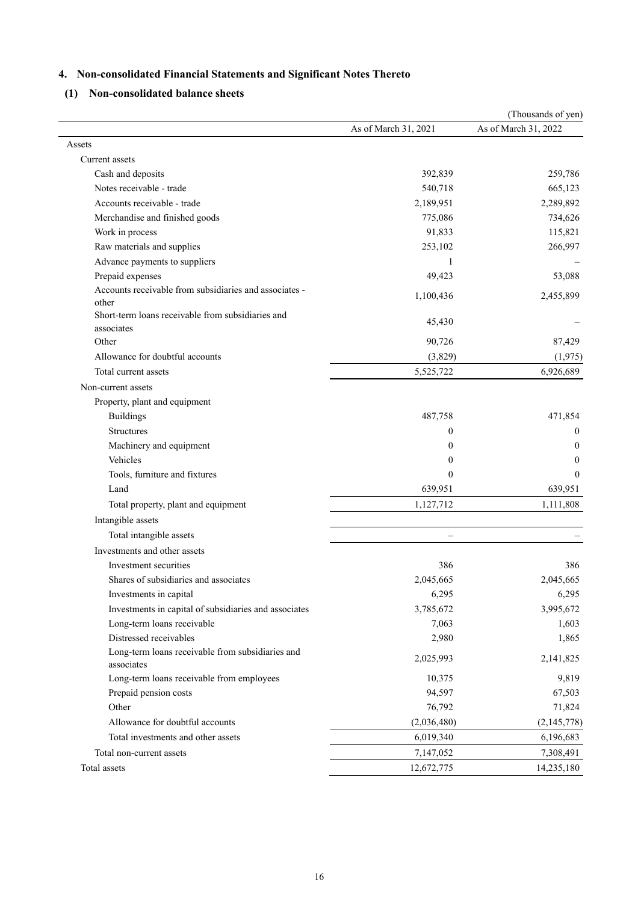# **4. Non-consolidated Financial Statements and Significant Notes Thereto**

# **(1) Non-consolidated balance sheets**

|                                                                 |                      | (Thousands of yen)   |
|-----------------------------------------------------------------|----------------------|----------------------|
|                                                                 | As of March 31, 2021 | As of March 31, 2022 |
| Assets                                                          |                      |                      |
| Current assets                                                  |                      |                      |
| Cash and deposits                                               | 392,839              | 259,786              |
| Notes receivable - trade                                        | 540,718              | 665,123              |
| Accounts receivable - trade                                     | 2,189,951            | 2,289,892            |
| Merchandise and finished goods                                  | 775,086              | 734,626              |
| Work in process                                                 | 91,833               | 115,821              |
| Raw materials and supplies                                      | 253,102              | 266,997              |
| Advance payments to suppliers                                   | 1                    |                      |
| Prepaid expenses                                                | 49,423               | 53,088               |
| Accounts receivable from subsidiaries and associates -<br>other | 1,100,436            | 2,455,899            |
| Short-term loans receivable from subsidiaries and<br>associates | 45,430               |                      |
| Other                                                           | 90,726               | 87,429               |
| Allowance for doubtful accounts                                 | (3,829)              | (1,975)              |
| Total current assets                                            | 5,525,722            | 6,926,689            |
| Non-current assets                                              |                      |                      |
| Property, plant and equipment                                   |                      |                      |
| <b>Buildings</b>                                                | 487,758              | 471,854              |
| <b>Structures</b>                                               | 0                    | 0                    |
| Machinery and equipment                                         | $\theta$             | $\theta$             |
| Vehicles                                                        | 0                    | 0                    |
| Tools, furniture and fixtures                                   | $\theta$             | $\theta$             |
| Land                                                            | 639,951              | 639,951              |
| Total property, plant and equipment                             | 1,127,712            | 1,111,808            |
| Intangible assets                                               |                      |                      |
| Total intangible assets                                         |                      |                      |
| Investments and other assets                                    |                      |                      |
| Investment securities                                           | 386                  | 386                  |
| Shares of subsidiaries and associates                           | 2,045,665            | 2,045,665            |
| Investments in capital                                          | 6,295                | 6,295                |
| Investments in capital of subsidiaries and associates           | 3,785,672            | 3,995,672            |
| Long-term loans receivable                                      | 7,063                | 1,603                |
| Distressed receivables                                          | 2,980                | 1,865                |
| Long-term loans receivable from subsidiaries and<br>associates  | 2,025,993            | 2,141,825            |
| Long-term loans receivable from employees                       | 10,375               | 9,819                |
| Prepaid pension costs                                           | 94,597               | 67,503               |
| Other                                                           | 76,792               | 71,824               |
| Allowance for doubtful accounts                                 | (2,036,480)          | (2,145,778)          |
| Total investments and other assets                              | 6,019,340            | 6,196,683            |
| Total non-current assets                                        | 7,147,052            | 7,308,491            |
| Total assets                                                    | 12,672,775           | 14,235,180           |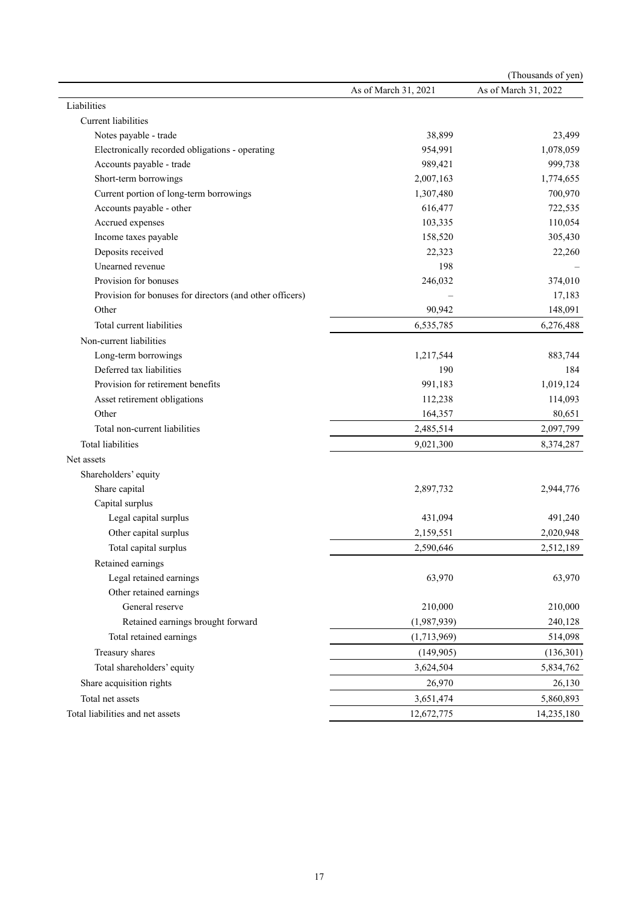|                                                          |                      | (Thousands of yen)   |
|----------------------------------------------------------|----------------------|----------------------|
|                                                          | As of March 31, 2021 | As of March 31, 2022 |
| Liabilities                                              |                      |                      |
| Current liabilities                                      |                      |                      |
| Notes payable - trade                                    | 38,899               | 23,499               |
| Electronically recorded obligations - operating          | 954,991              | 1,078,059            |
| Accounts payable - trade                                 | 989,421              | 999,738              |
| Short-term borrowings                                    | 2,007,163            | 1,774,655            |
| Current portion of long-term borrowings                  | 1,307,480            | 700,970              |
| Accounts payable - other                                 | 616,477              | 722,535              |
| Accrued expenses                                         | 103,335              | 110,054              |
| Income taxes payable                                     | 158,520              | 305,430              |
| Deposits received                                        | 22,323               | 22,260               |
| Unearned revenue                                         | 198                  |                      |
| Provision for bonuses                                    | 246,032              | 374,010              |
| Provision for bonuses for directors (and other officers) |                      | 17,183               |
| Other                                                    | 90,942               | 148,091              |
| Total current liabilities                                | 6,535,785            | 6,276,488            |
| Non-current liabilities                                  |                      |                      |
| Long-term borrowings                                     | 1,217,544            | 883,744              |
| Deferred tax liabilities                                 | 190                  | 184                  |
| Provision for retirement benefits                        | 991,183              | 1,019,124            |
| Asset retirement obligations                             | 112,238              | 114,093              |
| Other                                                    | 164,357              | 80,651               |
| Total non-current liabilities                            | 2,485,514            | 2,097,799            |
| <b>Total liabilities</b>                                 | 9,021,300            | 8,374,287            |
| Net assets                                               |                      |                      |
| Shareholders' equity                                     |                      |                      |
| Share capital                                            | 2,897,732            | 2,944,776            |
| Capital surplus                                          |                      |                      |
| Legal capital surplus                                    | 431,094              | 491,240              |
| Other capital surplus                                    | 2,159,551            | 2,020,948            |
| Total capital surplus                                    | 2,590,646            | 2,512,189            |
| Retained earnings                                        |                      |                      |
| Legal retained earnings                                  | 63,970               | 63,970               |
| Other retained earnings                                  |                      |                      |
| General reserve                                          | 210,000              | 210,000              |
| Retained earnings brought forward                        | (1,987,939)          | 240,128              |
| Total retained earnings                                  | (1,713,969)          | 514,098              |
| Treasury shares                                          | (149,905)            | (136,301)            |
| Total shareholders' equity                               | 3,624,504            | 5,834,762            |
| Share acquisition rights                                 | 26,970               | 26,130               |
| Total net assets                                         | 3,651,474            | 5,860,893            |
| Total liabilities and net assets                         | 12,672,775           | 14,235,180           |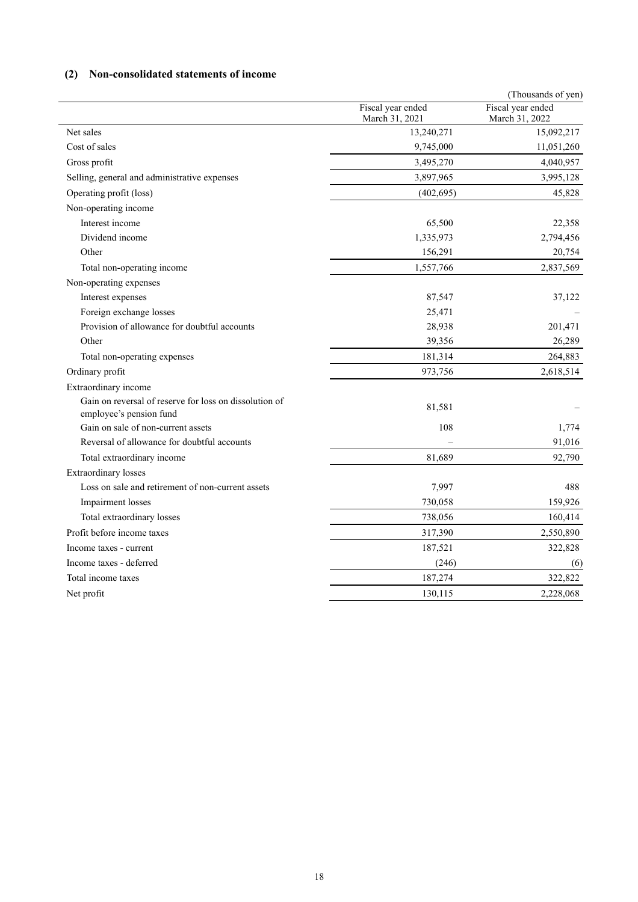## **(2) Non-consolidated statements of income**

|                                                                                   |                                     | (Thousands of yen)                  |
|-----------------------------------------------------------------------------------|-------------------------------------|-------------------------------------|
|                                                                                   | Fiscal year ended<br>March 31, 2021 | Fiscal year ended<br>March 31, 2022 |
| Net sales                                                                         | 13,240,271                          | 15,092,217                          |
| Cost of sales                                                                     | 9,745,000                           | 11,051,260                          |
| Gross profit                                                                      | 3,495,270                           | 4,040,957                           |
| Selling, general and administrative expenses                                      | 3,897,965                           | 3,995,128                           |
| Operating profit (loss)                                                           | (402, 695)                          | 45,828                              |
| Non-operating income                                                              |                                     |                                     |
| Interest income                                                                   | 65,500                              | 22,358                              |
| Dividend income                                                                   | 1,335,973                           | 2,794,456                           |
| Other                                                                             | 156,291                             | 20,754                              |
| Total non-operating income                                                        | 1,557,766                           | 2,837,569                           |
| Non-operating expenses                                                            |                                     |                                     |
| Interest expenses                                                                 | 87,547                              | 37,122                              |
| Foreign exchange losses                                                           | 25,471                              |                                     |
| Provision of allowance for doubtful accounts                                      | 28,938                              | 201,471                             |
| Other                                                                             | 39,356                              | 26,289                              |
| Total non-operating expenses                                                      | 181,314                             | 264,883                             |
| Ordinary profit                                                                   | 973,756                             | 2,618,514                           |
| Extraordinary income                                                              |                                     |                                     |
| Gain on reversal of reserve for loss on dissolution of<br>employee's pension fund | 81,581                              |                                     |
| Gain on sale of non-current assets                                                | 108                                 | 1,774                               |
| Reversal of allowance for doubtful accounts                                       |                                     | 91,016                              |
| Total extraordinary income                                                        | 81,689                              | 92,790                              |
| Extraordinary losses                                                              |                                     |                                     |
| Loss on sale and retirement of non-current assets                                 | 7,997                               | 488                                 |
| Impairment losses                                                                 | 730,058                             | 159,926                             |
| Total extraordinary losses                                                        | 738,056                             | 160,414                             |
| Profit before income taxes                                                        | 317,390                             | 2,550,890                           |
| Income taxes - current                                                            | 187,521                             | 322,828                             |
| Income taxes - deferred                                                           | (246)                               | (6)                                 |
| Total income taxes                                                                | 187,274                             | 322,822                             |
| Net profit                                                                        | 130,115                             | 2,228,068                           |
|                                                                                   |                                     |                                     |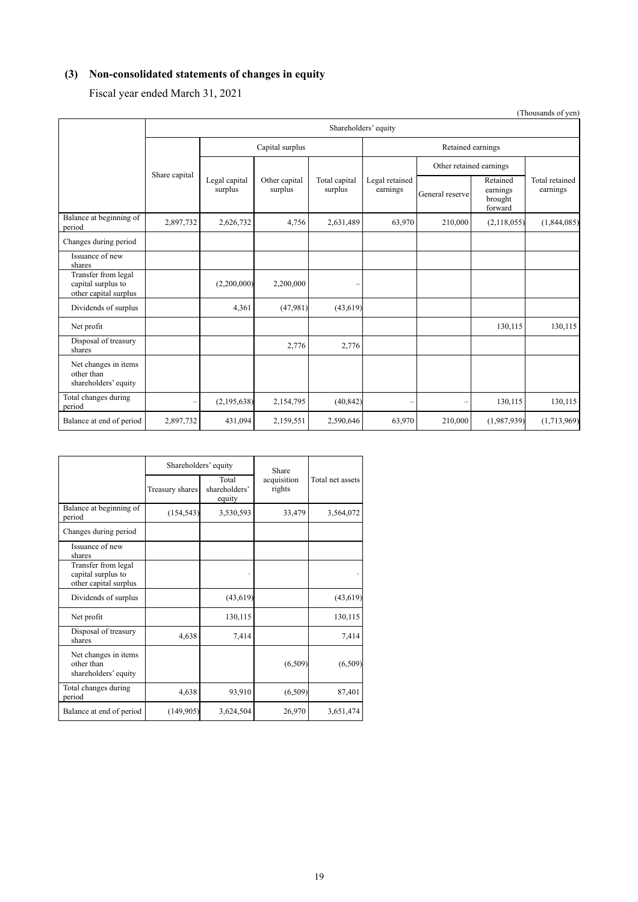# **(3) Non-consolidated statements of changes in equity**

Fiscal year ended March 31, 2021

|                                                                    |               |                          |                          |                          |                            |                         |                                            | (Thousands of yen)         |  |
|--------------------------------------------------------------------|---------------|--------------------------|--------------------------|--------------------------|----------------------------|-------------------------|--------------------------------------------|----------------------------|--|
|                                                                    |               | Shareholders' equity     |                          |                          |                            |                         |                                            |                            |  |
|                                                                    |               |                          | Capital surplus          |                          |                            | Retained earnings       |                                            |                            |  |
|                                                                    |               |                          |                          |                          |                            | Other retained earnings |                                            |                            |  |
|                                                                    | Share capital | Legal capital<br>surplus | Other capital<br>surplus | Total capital<br>surplus | Legal retained<br>earnings | General reserve         | Retained<br>earnings<br>brought<br>forward | Total retained<br>earnings |  |
| Balance at beginning of<br>period                                  | 2,897,732     | 2,626,732                | 4,756                    | 2,631,489                | 63,970                     | 210,000                 | (2,118,055)                                | (1,844,085)                |  |
| Changes during period                                              |               |                          |                          |                          |                            |                         |                                            |                            |  |
| Issuance of new<br>shares                                          |               |                          |                          |                          |                            |                         |                                            |                            |  |
| Transfer from legal<br>capital surplus to<br>other capital surplus |               | (2,200,000)              | 2,200,000                |                          |                            |                         |                                            |                            |  |
| Dividends of surplus                                               |               | 4,361                    | (47,981)                 | (43, 619)                |                            |                         |                                            |                            |  |
| Net profit                                                         |               |                          |                          |                          |                            |                         | 130,115                                    | 130,115                    |  |
| Disposal of treasury<br>shares                                     |               |                          | 2,776                    | 2,776                    |                            |                         |                                            |                            |  |
| Net changes in items<br>other than<br>shareholders' equity         |               |                          |                          |                          |                            |                         |                                            |                            |  |
| Total changes during<br>period                                     | -             | (2,195,638)              | 2,154,795                | (40, 842)                | $\overline{\phantom{0}}$   | $\qquad \qquad -$       | 130,115                                    | 130,115                    |  |
| Balance at end of period                                           | 2,897,732     | 431,094                  | 2,159,551                | 2,590,646                | 63,970                     | 210,000                 | (1,987,939)                                | (1,713,969)                |  |

|                                                                    | Shareholders' equity |                                  | Share                 |                  |  |
|--------------------------------------------------------------------|----------------------|----------------------------------|-----------------------|------------------|--|
|                                                                    | Treasury shares      | Total<br>shareholders'<br>equity | acquisition<br>rights | Total net assets |  |
| Balance at beginning of<br>period                                  | (154, 543)           | 3,530,593                        | 33,479                | 3,564,072        |  |
| Changes during period                                              |                      |                                  |                       |                  |  |
| Issuance of new<br>shares                                          |                      |                                  |                       |                  |  |
| Transfer from legal<br>capital surplus to<br>other capital surplus |                      |                                  |                       |                  |  |
| Dividends of surplus                                               |                      | (43, 619)                        |                       | (43, 619)        |  |
| Net profit                                                         |                      | 130,115                          |                       | 130,115          |  |
| Disposal of treasury<br>shares                                     | 4,638                | 7,414                            |                       | 7,414            |  |
| Net changes in items<br>other than<br>shareholders' equity         |                      |                                  | (6,509)               | (6,509)          |  |
| Total changes during<br>period                                     | 4,638                | 93,910                           | (6,509)               | 87,401           |  |
| Balance at end of period                                           | (149,905)            | 3,624,504                        | 26,970                | 3,651,474        |  |